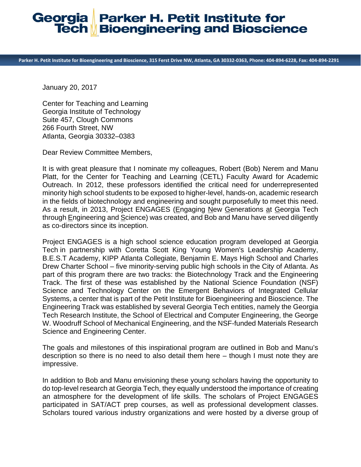## **Parker H. Petit Institute for** Georgia **Tech Bioengineering and Bioscience**

Parker H. Petit Institute for Bioengineering and Bioscience, 315 Ferst Drive NW, Atlanta, GA 30332-0363, Phone: 404-894-6228, Fax: 404-894-2291

January 20, 2017

Center for Teaching and Learning Georgia Institute of Technology Suite 457, Clough Commons 266 Fourth Street, NW Atlanta, Georgia 30332–0383

Dear Review Committee Members,

It is with great pleasure that I nominate my colleagues, Robert (Bob) Nerem and Manu Platt, for the Center for Teaching and Learning (CETL) Faculty Award for Academic Outreach. In 2012, these professors identified the critical need for underrepresented minority high school students to be exposed to higher-level, hands-on, academic research in the fields of biotechnology and engineering and sought purposefully to meet this need. As a result, in 2013, Project ENGAGES (Engaging New Generations at Georgia Tech through Engineering and Science) was created, and Bob and Manu have served diligently as co-directors since its inception.

Project ENGAGES is a high school science education program developed at Georgia Tech in partnership with Coretta Scott King Young Women's Leadership Academy, B.E.S.T Academy, KIPP Atlanta Collegiate, Benjamin E. Mays High School and Charles Drew Charter School – five minority-serving public high schools in the City of Atlanta. As part of this program there are two tracks: the Biotechnology Track and the Engineering Track. The first of these was established by the National Science Foundation (NSF) Science and Technology Center on the Emergent Behaviors of Integrated Cellular Systems, a center that is part of the Petit Institute for Bioengineering and Bioscience. The Engineering Track was established by several Georgia Tech entities, namely the Georgia Tech Research Institute, the School of Electrical and Computer Engineering, the George W. Woodruff School of Mechanical Engineering, and the NSF-funded Materials Research Science and Engineering Center.

The goals and milestones of this inspirational program are outlined in Bob and Manu's description so there is no need to also detail them here – though I must note they are impressive.

In addition to Bob and Manu envisioning these young scholars having the opportunity to do top-level research at Georgia Tech, they equally understood the importance of creating an atmosphere for the development of life skills. The scholars of Project ENGAGES participated in SAT/ACT prep courses, as well as professional development classes. Scholars toured various industry organizations and were hosted by a diverse group of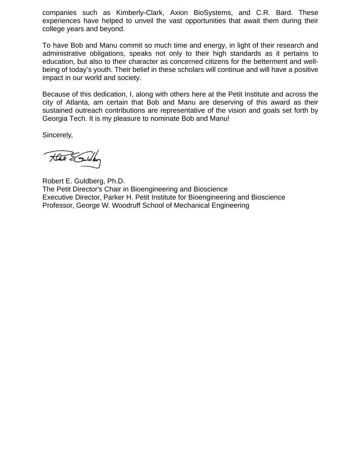companies such as Kimberly-Clark, Axion BioSystems, and C.R. Bard. These experiences have helped to unveil the vast opportunities that await them during their college years and beyond.

To have Bob and Manu commit so much time and energy, in light of their research and administrative obligations, speaks not only to their high standards as it pertains to education, but also to their character as concerned citizens for the betterment and wellbeing of today's youth. Their belief in these scholars will continue and will have a positive impact in our world and society.

Because of this dedication, I, along with others here at the Petit Institute and across the city of Atlanta, am certain that Bob and Manu are deserving of this award as their sustained outreach contributions are representative of the vision and goals set forth by Georgia Tech. It is my pleasure to nominate Bob and Manu!

Sincerely,

Hat & Suiday

Robert E. Guldberg, Ph.D. The Petit Director's Chair in Bioengineering and Bioscience Executive Director, Parker H. Petit Institute for Bioengineering and Bioscience Professor, George W. Woodruff School of Mechanical Engineering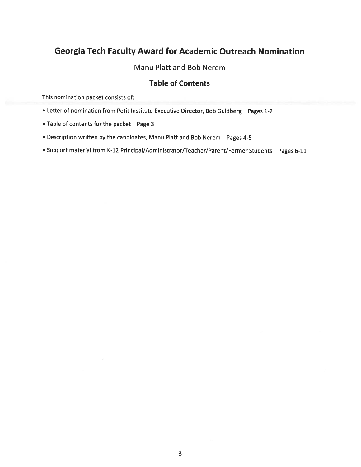# **Georgia Tech Faculty Award for Academic Outreach Nomination**

### Manu Platt and Bob Nerem

### **Table of Contents**

This nomination packet consists of:

- Letter of nomination from Petit Institute Executive Director, Bob Guldberg Pages 1-2
- Table of contents for the packet Page 3
- Description written by the candidates, Manu Platt and Bob Nerem Pages 4-5
- Support material from K-12 Principal/Administrator/Teacher/Parent/Former Students Pages 6-11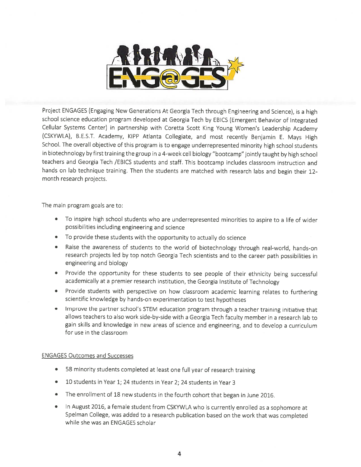

Project ENGAGES (Engaging New Generations At Georgia Tech through Engineering and Science), is a high school science education program developed at Georgia Tech by EBICS (Emergent Behavior of Integrated Cellular Systems Center) in partnership with Coretta Scott King Young Women's Leadership Academy (CSKYWLA), B.E.S.T. Academy, KIPP Atlanta Collegiate, and most recently Benjamin E. Mays High School. The overall objective of this program is to engage underrepresented minority high school students in biotechnology by first training the group in a 4-week cell biology "bootcamp" jointly taught by high school teachers and Georgia Tech /EBICS students and staff. This bootcamp includes classroom instruction and hands on lab technique training. Then the students are matched with research labs and begin their 12month research projects.

The main program goals are to:

- To inspire high school students who are underrepresented minorities to aspire to a life of wider possibilities including engineering and science
- To provide these students with the opportunity to actually do science
- Raise the awareness of students to the world of biotechnology through real-world, hands-on  $\bullet$ research projects led by top notch Georgia Tech scientists and to the career path possibilities in engineering and biology
- Provide the opportunity for these students to see people of their ethnicity being successful academically at a premier research institution, the Georgia Institute of Technology
- Provide students with perspective on how classroom academic learning relates to furthering scientific knowledge by hands-on experimentation to test hypotheses
- Improve the partner school's STEM education program through a teacher training initiative that  $\bullet$ allows teachers to also work side-by-side with a Georgia Tech faculty member in a research lab to gain skills and knowledge in new areas of science and engineering, and to develop a curriculum for use in the classroom

#### **ENGAGES Outcomes and Successes**

- 58 minority students completed at least one full year of research training
- $\bullet$ 10 students in Year 1; 24 students in Year 2; 24 students in Year 3
- The enrollment of 18 new students in the fourth cohort that began in June 2016.  $\bullet$
- In August 2016, a female student from CSKYWLA who is currently enrolled as a sophomore at  $\bullet$ Spelman College, was added to a research publication based on the work that was completed while she was an ENGAGES scholar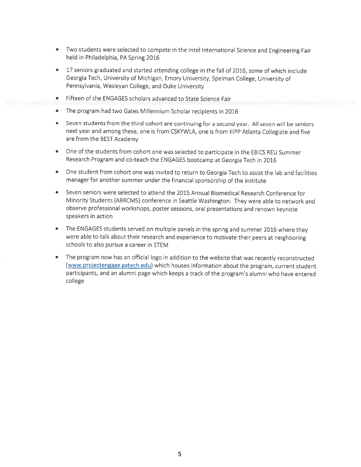- Two students were selected to compete in the Intel International Science and Engineering Fair held in Philadelphia, PA Spring 2016
- $\bullet$ 17 seniors graduated and started attending college in the fall of 2016, some of which include Georgia Tech, University of Michigan, Emory University, Spelman College, University of Pennsylvania, Wesleyan College, and Duke University
- $\bullet$ Fifteen of the ENGAGES scholars advanced to State Science Fair
- The program had two Gates Millennium Scholar recipients in 2016  $\bullet$
- $\bullet$ Seven students from the third cohort are continuing for a second year. All seven will be seniors next year and among these, one is from CSKYWLA, one is from KIPP Atlanta Collegiate and five are from the BEST Academy
- One of the students from cohort one was selected to participate in the EBICS REU Summer  $\bullet$ Research Program and co-teach the ENGAGES bootcamp at Georgia Tech in 2016
- $\bullet$  . One student from cohort one was invited to return to Georgia Tech to assist the lab and facilities manager for another summer under the financial sponsorship of the institute
- Seven seniors were selected to attend the 2015 Annual Biomedical Research Conference for  $\bullet$ Minority Students (ABRCMS) conference in Seattle Washington. They were able to network and observe professional workshops, poster sessions, oral presentations and renown keynote speakers in action
- The ENGAGES students served on multiple panels in the spring and summer 2016 where they were able to talk about their research and experience to motivate their peers at neighboring schools to also pursue a career in STEM
- The program now has an official logo in addition to the website that was recently reconstructed  $\bullet$ (www.projectengage.gatech.edu) which houses information about the program, current student participants, and an alumni page which keeps a track of the program's alumni who have entered college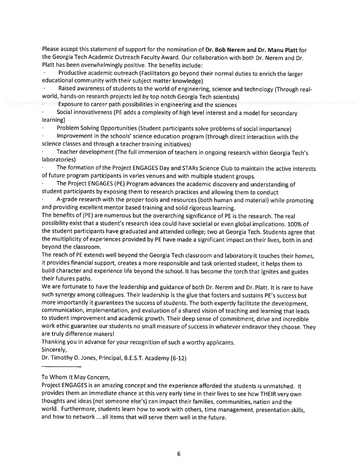Please accept this statement of support for the nomination of Dr. Bob Nerem and Dr. Manu Platt for the Georgia Tech Academic Outreach Faculty Award. Our collaboration with both Dr. Nerem and Dr. Platt has been overwhelmingly positive. The benefits include:

Productive academic outreach (Facilitators go beyond their normal duties to enrich the larger educational community with their subject matter knowledge)

Raised awareness of students to the world of engineering, science and technology (Through realworld, hands-on research projects led by top notch Georgia Tech scientists)

Exposure to career path possibilities in engineering and the sciences

Social innovativeness (PE adds a complexity of high level interest and a model for secondary learning)

Problem Solving Opportunities (Student participants solve problems of social importance)

Improvement in the schools' science education program (through direct interaction with the science classes and through a teacher training initiatives)

Teacher development (The full immersion of teachers in ongoing research within Georgia Tech's laboratories)

The formation of the Project ENGAGES Day and STARs Science Club to maintain the active interests of future program participants in varies venues and with multiple student groups.

The Project ENGAGES (PE) Program advances the academic discovery and understanding of student participants by exposing them to research practices and allowing them to conduct

A-grade research with the proper tools and resources (both human and material) while promoting and providing excellent mentor based training and solid rigorous learning.

The benefits of (PE) are numerous but the overarching significance of PE is the research. The real possibility exist that a student's research idea could have societal or even global implications. 100% of the student participants have graduated and attended college; two at Georgia Tech. Students agree that the multiplicity of experiences provided by PE have made a significant impact on their lives, both in and beyond the classroom.

The reach of PE extends well beyond the Georgia Tech classroom and laboratory it touches their homes, it provides financial support, creates a more responsible and task oriented student, it helps them to build character and experience life beyond the school. It has become the torch that ignites and guides their futures paths.

We are fortunate to have the leadership and guidance of both Dr. Nerem and Dr. Platt. It is rare to have such synergy among colleagues. Their leadership is the glue that fosters and sustains PE's success but more importantly it guarantees the success of students. The both expertly facilitate the development, communication, implementation, and evaluation of a shared vision of teaching and learning that leads to student improvement and academic growth. Their deep sense of commitment, drive and incredible work ethic guarantee our students no small measure of success in whatever endeavor they choose. They are truly difference makers!

Thanking you in advance for your recognition of such a worthy applicants. Sincerely,

Dr. Timothy D. Jones, Principal, B.E.S.T. Academy (6-12)

#### To Whom It May Concern,

Project ENGAGES is an amazing concept and the experience afforded the students is unmatched. It provides them an immediate chance at this very early time in their lives to see how THEIR very own thoughts and ideas (not someone else's) can impact their families, communities, nation and the world. Furthermore, students learn how to work with others, time management, presentation skills, and how to network ... all items that will serve them well in the future.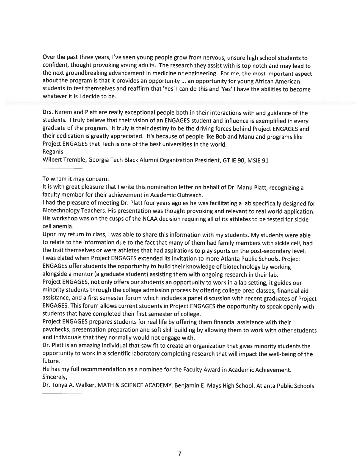Over the past three years, I've seen young people grow from nervous, unsure high school students to confident, thought provoking young adults. The research they assist with is top notch and may lead to the next groundbreaking advancement in medicine or engineering. For me, the most important aspect about the program is that it provides an opportunity ... an opportunity for young African American students to test themselves and reaffirm that 'Yes' I can do this and 'Yes' I have the abilities to become whatever it is I decide to be.

Drs. Nerem and Platt are really exceptional people both in their interactions with and guidance of the students. I truly believe that their vision of an ENGAGES student and influence is exemplified in every graduate of the program. It truly is their destiny to be the driving forces behind Project ENGAGES and their dedication is greatly appreciated. It's because of people like Bob and Manu and programs like Project ENGAGES that Tech is one of the best universities in the world. Regards

Wilbert Tremble, Georgia Tech Black Alumni Organization President, GT IE 90, MSIE 91

#### To whom it may concern:

It is with great pleasure that I write this nomination letter on behalf of Dr. Manu Platt, recognizing a faculty member for their achievement in Academic Outreach.

I had the pleasure of meeting Dr. Platt four years ago as he was facilitating a lab specifically designed for Biotechnology Teachers. His presentation was thought provoking and relevant to real world application. His workshop was on the cusps of the NCAA decision requiring all of its athletes to be tested for sickle cell anemia.

Upon my return to class, I was able to share this information with my students. My students were able to relate to the information due to the fact that many of them had family members with sickle cell, had the trait themselves or were athletes that had aspirations to play sports on the post-secondary level. I was elated when Project ENGAGES extended its invitation to more Atlanta Public Schools. Project ENGAGES offer students the opportunity to build their knowledge of biotechnology by working alongside a mentor (a graduate student) assisting them with ongoing research in their lab.

Project ENGAGES, not only offers our students an opportunity to work in a lab setting, it guides our minority students through the college admission process by offering college prep classes, financial aid assistance, and a first semester forum which includes a panel discussion with recent graduates of Project ENGAGES. This forum allows current students in Project ENGAGES the opportunity to speak openly with students that have completed their first semester of college.

Project ENGAGES prepares students for real life by offering them financial assistance with their paychecks, presentation preparation and soft skill building by allowing them to work with other students and individuals that they normally would not engage with.

Dr. Platt is an amazing individual that saw fit to create an organization that gives minority students the opportunity to work in a scientific laboratory completing research that will impact the well-being of the future.

He has my full recommendation as a nominee for the Faculty Award in Academic Achievement. Sincerely,

Dr. Tonya A. Walker, MATH & SCIENCE ACADEMY, Benjamin E. Mays High School, Atlanta Public Schools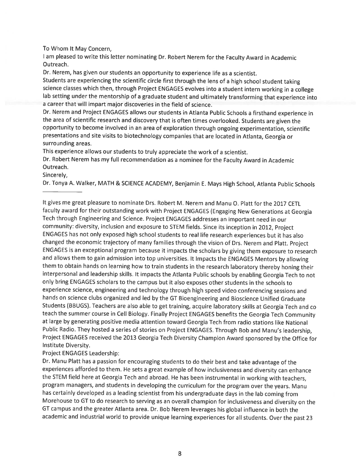To Whom It May Concern,

I am pleased to write this letter nominating Dr. Robert Nerem for the Faculty Award in Academic Outreach.

Dr. Nerem, has given our students an opportunity to experience life as a scientist.

Students are experiencing the scientific circle first through the lens of a high school student taking science classes which then, through Project ENGAGES evolves into a student intern working in a college lab setting under the mentorship of a graduate student and ultimately transforming that experience into a career that will impart major discoveries in the field of science.

Dr. Nerem and Project ENGAGES allows our students in Atlanta Public Schools a firsthand experience in the area of scientific research and discovery that is often times overlooked. Students are given the opportunity to become involved in an area of exploration through ongoing experimentation, scientific presentations and site visits to biotechnology companies that are located in Atlanta, Georgia or surrounding areas.

This experience allows our students to truly appreciate the work of a scientist.

Dr. Robert Nerem has my full recommendation as a nominee for the Faculty Award in Academic Outreach.

Sincerely,

Dr. Tonya A. Walker, MATH & SCIENCE ACADEMY, Benjamin E. Mays High School, Atlanta Public Schools

It gives me great pleasure to nominate Drs. Robert M. Nerem and Manu O. Platt for the 2017 CETL faculty award for their outstanding work with Project ENGAGES (Engaging New Generations at Georgia Tech through Engineering and Science. Project ENGAGES addresses an important need in our community: diversity, inclusion and exposure to STEM fields. Since its inception in 2012, Project ENGAGES has not only exposed high school students to real life research experiences but it has also changed the economic trajectory of many families through the vision of Drs. Nerem and Platt. Project ENGAGES is an exceptional program because it impacts the scholars by giving them exposure to research and allows them to gain admission into top universities. It Impacts the ENGAGES Mentors by allowing them to obtain hands on learning how to train students in the research laboratory thereby honing their interpersonal and leadership skills. It impacts the Atlanta Public schools by enabling Georgia Tech to not only bring ENGAGES scholars to the campus but it also exposes other students in the schools to experience science, engineering and technology through high speed video conferencing sessions and hands on science clubs organized and led by the GT Bioengineering and Bioscience Unified Graduate Students (BBUGS). Teachers are also able to get training, acquire laboratory skills at Georgia Tech and co teach the summer course in Cell Biology. Finally Project ENGAGES benefits the Georgia Tech Community at large by generating positive media attention toward Georgia Tech from radio stations like National Public Radio. They hosted a series of stories on Project ENGAGES. Through Bob and Manu's leadership, Project ENGAGES received the 2013 Georgia Tech Diversity Champion Award sponsored by the Office for Institute Diversity.

Project ENGAGES Leadership:

Dr. Manu Platt has a passion for encouraging students to do their best and take advantage of the experiences afforded to them. He sets a great example of how inclusiveness and diversity can enhance the STEM field here at Georgia Tech and abroad. He has been instrumental in working with teachers, program managers, and students in developing the curriculum for the program over the years. Manu has certainly developed as a leading scientist from his undergraduate days in the lab coming from Morehouse to GT to do research to serving as an overall champion for inclusiveness and diversity on the GT campus and the greater Atlanta area. Dr. Bob Nerem leverages his global influence in both the academic and industrial world to provide unique learning experiences for all students. Over the past 23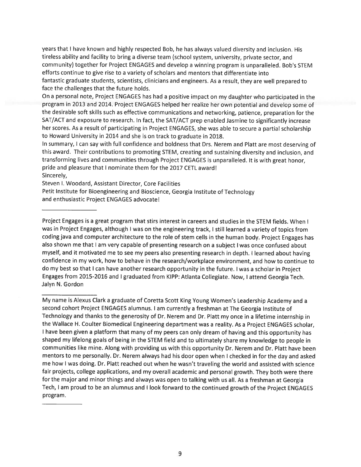years that I have known and highly respected Bob, he has always valued diversity and inclusion. His tireless ability and facility to bring a diverse team (school system, university, private sector, and community) together for Project ENGAGES and develop a winning program is unparalleled. Bob's STEM efforts continue to give rise to a variety of scholars and mentors that differentiate into fantastic graduate students, scientists, clinicians and engineers. As a result, they are well prepared to face the challenges that the future holds.

On a personal note, Project ENGAGES has had a positive impact on my daughter who participated in the program in 2013 and 2014. Project ENGAGES helped her realize her own potential and develop some of the desirable soft skills such as effective communications and networking, patience, preparation for the SAT/ACT and exposure to research. In fact, the SAT/ACT prep enabled Jasmine to significantly increase her scores. As a result of participating in Project ENGAGES, she was able to secure a partial scholarship to Howard University in 2014 and she is on track to graduate in 2018.

In summary, I can say with full confidence and boldness that Drs. Nerem and Platt are most deserving of this award. Their contributions to promoting STEM, creating and sustaining diversity and inclusion, and transforming lives and communities through Project ENGAGES is unparalleled. It is with great honor. pride and pleasure that I nominate them for the 2017 CETL award! Sincerely,

Steven I. Woodard, Assistant Director, Core Facilities

Petit Institute for Bioengineering and Bioscience, Georgia Institute of Technology and enthusiastic Project ENGAGES advocate!

Project Engages is a great program that stirs interest in careers and studies in the STEM fields. When I was in Project Engages, although I was on the engineering track, I still learned a variety of topics from coding java and computer architecture to the role of stem cells in the human body. Project Engages has also shown me that I am very capable of presenting research on a subject I was once confused about myself, and it motivated me to see my peers also presenting research in depth. I learned about having confidence in my work, how to behave in the research/workplace environment, and how to continue to do my best so that I can have another research opportunity in the future. I was a scholar in Project Engages from 2015-2016 and I graduated from KIPP: Atlanta Collegiate. Now, I attend Georgia Tech. Jalyn N. Gordon

My name is Alexus Clark a graduate of Coretta Scott King Young Women's Leadership Academy and a second cohort Project ENGAGES alumnus. I am currently a freshman at The Georgia Institute of Technology and thanks to the generosity of Dr. Nerem and Dr. Platt my once in a lifetime internship in the Wallace H. Coulter Biomedical Engineering department was a reality. As a Project ENGAGES scholar, I have been given a platform that many of my peers can only dream of having and this opportunity has shaped my lifelong goals of being in the STEM field and to ultimately share my knowledge to people in communities like mine. Along with providing us with this opportunity Dr. Nerem and Dr. Platt have been mentors to me personally. Dr. Nerem always had his door open when I checked in for the day and asked me how I was doing. Dr. Platt reached out when he wasn't traveling the world and assisted with science fair projects, college applications, and my overall academic and personal growth. They both were there for the major and minor things and always was open to talking with us all. As a freshman at Georgia Tech, I am proud to be an alumnus and I look forward to the continued growth of the Project ENGAGES program.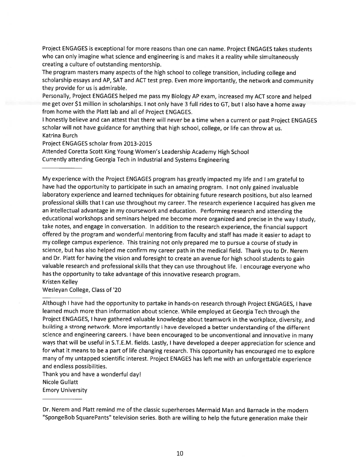Project ENGAGES is exceptional for more reasons than one can name. Project ENGAGES takes students who can only imagine what science and engineering is and makes it a reality while simultaneously creating a culture of outstanding mentorship.

The program masters many aspects of the high school to college transition, including college and scholarship essays and AP, SAT and ACT test prep. Even more importantly, the network and community they provide for us is admirable.

Personally, Project ENGAGES helped me pass my Biology AP exam, increased my ACT score and helped me get over \$1 million in scholarships. I not only have 3 full rides to GT, but I also have a home away from home with the Platt lab and all of Project ENGAGES.

I honestly believe and can attest that there will never be a time when a current or past Project ENGAGES scholar will not have guidance for anything that high school, college, or life can throw at us. **Katrina Burch** 

Project ENGAGES scholar from 2013-2015

Attended Coretta Scott King Young Women's Leadership Academy High School Currently attending Georgia Tech in Industrial and Systems Engineering

My experience with the Project ENGAGES program has greatly impacted my life and I am grateful to have had the opportunity to participate in such an amazing program. I not only gained invaluable laboratory experience and learned techniques for obtaining future research positions, but also learned professional skills that I can use throughout my career. The research experience I acquired has given me an intellectual advantage in my coursework and education. Performing research and attending the educational workshops and seminars helped me become more organized and precise in the way I study, take notes, and engage in conversation. In addition to the research experience, the financial support offered by the program and wonderful mentoring from faculty and staff has made it easier to adapt to my college campus experience. This training not only prepared me to pursue a course of study in science, but has also helped me confirm my career path in the medical field. Thank you to Dr. Nerem and Dr. Platt for having the vision and foresight to create an avenue for high school students to gain valuable research and professional skills that they can use throughout life. I encourage everyone who has the opportunity to take advantage of this innovative research program. **Kristen Kelley** 

Wesleyan College, Class of '20

Although I have had the opportunity to partake in hands-on research through Project ENGAGES, I have learned much more than information about science. While employed at Georgia Tech through the Project ENGAGES, I have gathered valuable knowledge about teamwork in the workplace, diversity, and building a strong network. More importantly I have developed a better understanding of the different science and engineering careers. I have been encouraged to be unconventional and innovative in many ways that will be useful in S.T.E.M. fields. Lastly, I have developed a deeper appreciation for science and for what it means to be a part of life changing research. This opportunity has encouraged me to explore many of my untapped scientific interest. Project ENAGES has left me with an unforgettable experience and endless possibilities.

Thank you and have a wonderful day! **Nicole Gullatt Emory University** 

Dr. Nerem and Platt remind me of the classic superheroes Mermaid Man and Barnacle in the modern "SpongeBob SquarePants" television series. Both are willing to help the future generation make their